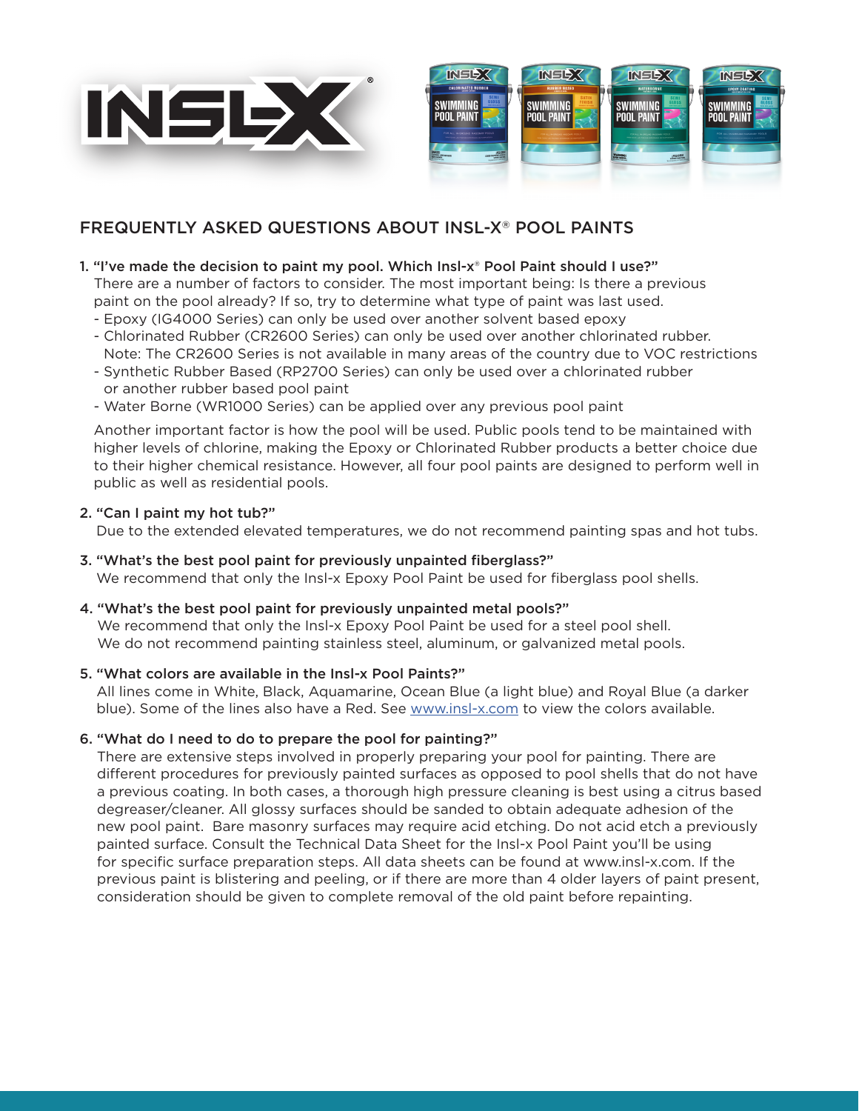



# FREQUENTLY ASKED QUESTIONS ABOUT INSL-X® POOL PAINTS

# 1. "I've made the decision to paint my pool. Which Insl-x® Pool Paint should I use?"

There are a number of factors to consider. The most important being: Is there a previous paint on the pool already? If so, try to determine what type of paint was last used.

- Epoxy (IG4000 Series) can only be used over another solvent based epoxy
- Chlorinated Rubber (CR2600 Series) can only be used over another chlorinated rubber. Note: The CR2600 Series is not available in many areas of the country due to VOC restrictions
- Synthetic Rubber Based (RP2700 Series) can only be used over a chlorinated rubber or another rubber based pool paint
- Water Borne (WR1000 Series) can be applied over any previous pool paint

Another important factor is how the pool will be used. Public pools tend to be maintained with higher levels of chlorine, making the Epoxy or Chlorinated Rubber products a better choice due to their higher chemical resistance. However, all four pool paints are designed to perform well in public as well as residential pools.

## 2. "Can I paint my hot tub?"

Due to the extended elevated temperatures, we do not recommend painting spas and hot tubs.

- 3. "What's the best pool paint for previously unpainted fiberglass?" We recommend that only the Insl-x Epoxy Pool Paint be used for fiberglass pool shells.
- 4. "What's the best pool paint for previously unpainted metal pools?"

We recommend that only the Insl-x Epoxy Pool Paint be used for a steel pool shell. We do not recommend painting stainless steel, aluminum, or galvanized metal pools.

# 5. "What colors are available in the Insl-x Pool Paints?"

All lines come in White, Black, Aquamarine, Ocean Blue (a light blue) and Royal Blue (a darker blue). Some of the lines also have a Red. See [www.insl-x.com](http://www.insl-x.com) to view the colors available.

# 6. "What do I need to do to prepare the pool for painting?"

There are extensive steps involved in properly preparing your pool for painting. There are different procedures for previously painted surfaces as opposed to pool shells that do not have a previous coating. In both cases, a thorough high pressure cleaning is best using a citrus based degreaser/cleaner. All glossy surfaces should be sanded to obtain adequate adhesion of the new pool paint. Bare masonry surfaces may require acid etching. Do not acid etch a previously painted surface. Consult the Technical Data Sheet for the Insl-x Pool Paint you'll be using for specific surface preparation steps. All data sheets can be found at www.insl-x.com. If the previous paint is blistering and peeling, or if there are more than 4 older layers of paint present, consideration should be given to complete removal of the old paint before repainting.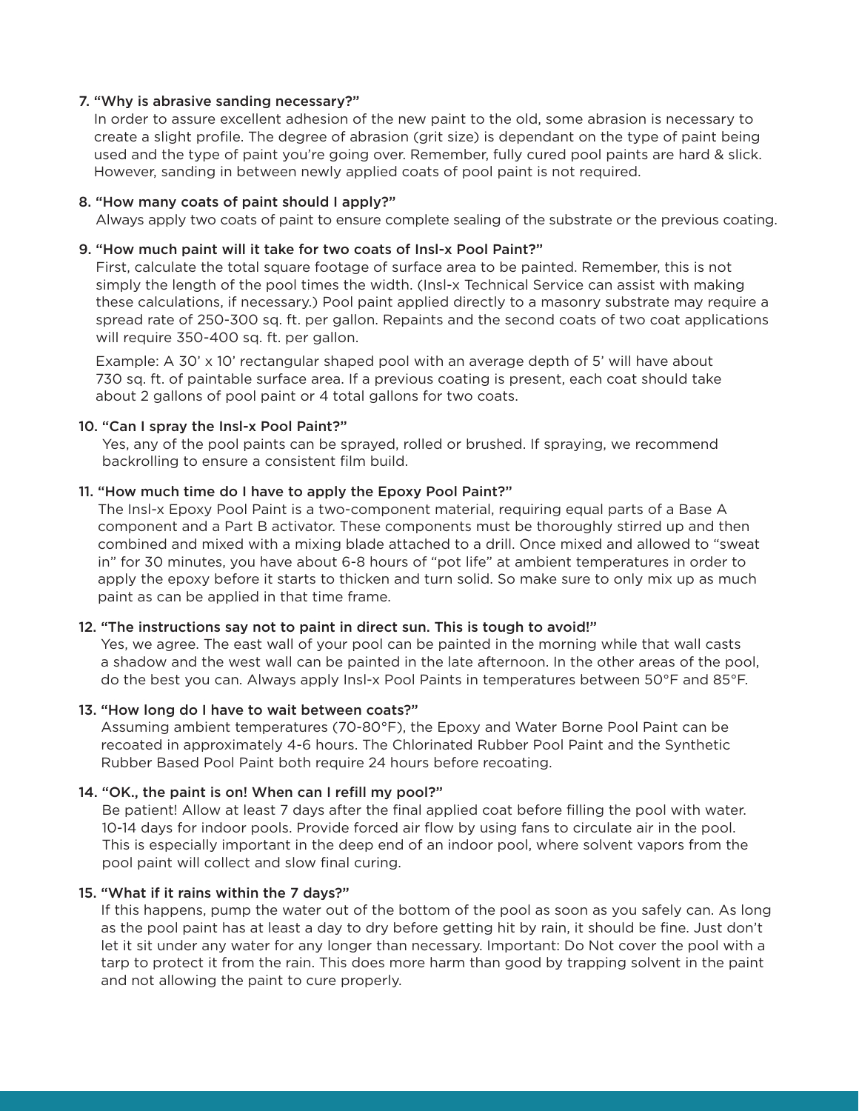## 7. "Why is abrasive sanding necessary?"

In order to assure excellent adhesion of the new paint to the old, some abrasion is necessary to create a slight profile. The degree of abrasion (grit size) is dependant on the type of paint being used and the type of paint you're going over. Remember, fully cured pool paints are hard & slick. However, sanding in between newly applied coats of pool paint is not required.

#### 8. "How many coats of paint should I apply?"

Always apply two coats of paint to ensure complete sealing of the substrate or the previous coating.

## 9. "How much paint will it take for two coats of Insl-x Pool Paint?"

First, calculate the total square footage of surface area to be painted. Remember, this is not simply the length of the pool times the width. (Insl-x Technical Service can assist with making these calculations, if necessary.) Pool paint applied directly to a masonry substrate may require a spread rate of 250-300 sq. ft. per gallon. Repaints and the second coats of two coat applications will require 350-400 sq. ft. per gallon.

Example: A 30' x 10' rectangular shaped pool with an average depth of 5' will have about 730 sq. ft. of paintable surface area. If a previous coating is present, each coat should take about 2 gallons of pool paint or 4 total gallons for two coats.

## 10. "Can I spray the Insl-x Pool Paint?"

Yes, any of the pool paints can be sprayed, rolled or brushed. If spraying, we recommend backrolling to ensure a consistent film build.

## 11. "How much time do I have to apply the Epoxy Pool Paint?"

The Insl-x Epoxy Pool Paint is a two-component material, requiring equal parts of a Base A component and a Part B activator. These components must be thoroughly stirred up and then combined and mixed with a mixing blade attached to a drill. Once mixed and allowed to "sweat in" for 30 minutes, you have about 6-8 hours of "pot life" at ambient temperatures in order to apply the epoxy before it starts to thicken and turn solid. So make sure to only mix up as much paint as can be applied in that time frame.

# 12. "The instructions say not to paint in direct sun. This is tough to avoid!"

Yes, we agree. The east wall of your pool can be painted in the morning while that wall casts a shadow and the west wall can be painted in the late afternoon. In the other areas of the pool, do the best you can. Always apply Insl-x Pool Paints in temperatures between 50°F and 85°F.

#### 13. "How long do I have to wait between coats?"

Assuming ambient temperatures (70-80°F), the Epoxy and Water Borne Pool Paint can be recoated in approximately 4-6 hours. The Chlorinated Rubber Pool Paint and the Synthetic Rubber Based Pool Paint both require 24 hours before recoating.

# 14. "OK., the paint is on! When can I refill my pool?"

Be patient! Allow at least 7 days after the final applied coat before filling the pool with water. 10-14 days for indoor pools. Provide forced air flow by using fans to circulate air in the pool. This is especially important in the deep end of an indoor pool, where solvent vapors from the pool paint will collect and slow final curing.

#### 15. "What if it rains within the 7 days?"

If this happens, pump the water out of the bottom of the pool as soon as you safely can. As long as the pool paint has at least a day to dry before getting hit by rain, it should be fine. Just don't let it sit under any water for any longer than necessary. Important: Do Not cover the pool with a tarp to protect it from the rain. This does more harm than good by trapping solvent in the paint and not allowing the paint to cure properly.